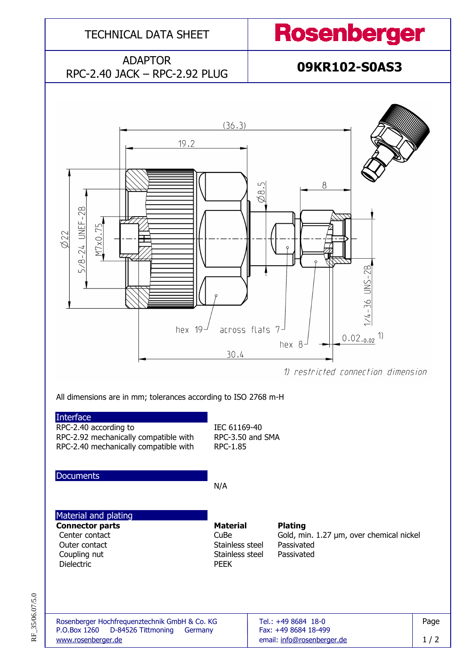

RF\_35/06.07/5.0 RF\_35/06.07/5.0